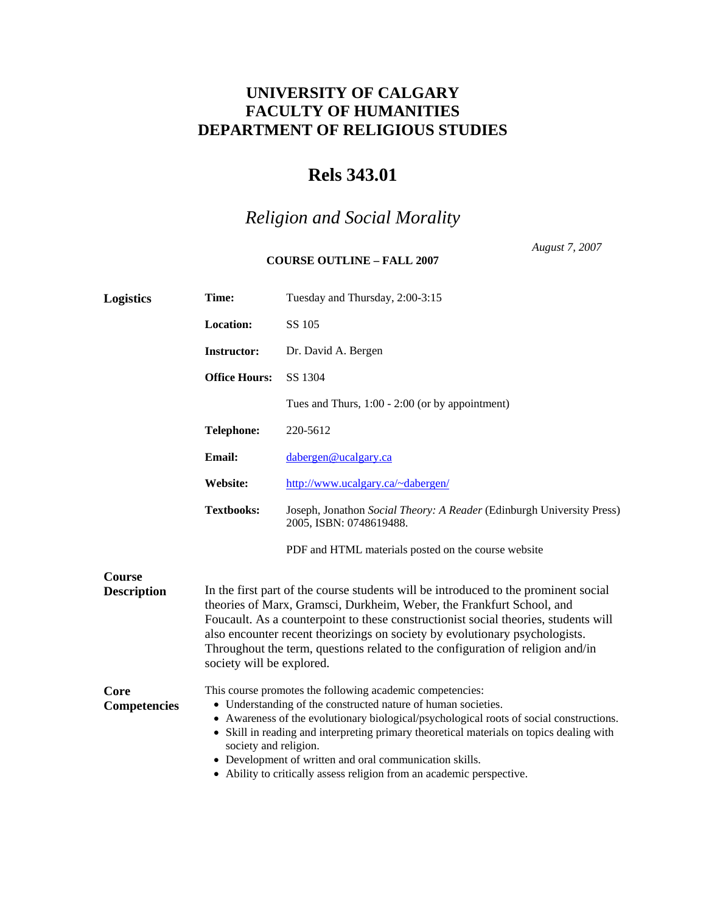## **UNIVERSITY OF CALGARY FACULTY OF HUMANITIES DEPARTMENT OF RELIGIOUS STUDIES**

## **Rels 343.01**

## *Religion and Social Morality*

## **COURSE OUTLINE – FALL 2007**

*August 7, 2007* 

| <b>Logistics</b>                    | Time:                                                                                                                                                                                                                                                                                                                                                                                                                                                                          | Tuesday and Thursday, 2:00-3:15                                                                  |  |  |
|-------------------------------------|--------------------------------------------------------------------------------------------------------------------------------------------------------------------------------------------------------------------------------------------------------------------------------------------------------------------------------------------------------------------------------------------------------------------------------------------------------------------------------|--------------------------------------------------------------------------------------------------|--|--|
|                                     | Location:                                                                                                                                                                                                                                                                                                                                                                                                                                                                      | SS 105                                                                                           |  |  |
| <b>Instructor:</b>                  |                                                                                                                                                                                                                                                                                                                                                                                                                                                                                | Dr. David A. Bergen                                                                              |  |  |
|                                     | <b>Office Hours:</b>                                                                                                                                                                                                                                                                                                                                                                                                                                                           | SS 1304                                                                                          |  |  |
|                                     |                                                                                                                                                                                                                                                                                                                                                                                                                                                                                | Tues and Thurs, $1:00 - 2:00$ (or by appointment)                                                |  |  |
|                                     | <b>Telephone:</b>                                                                                                                                                                                                                                                                                                                                                                                                                                                              | 220-5612                                                                                         |  |  |
|                                     | <b>Email:</b>                                                                                                                                                                                                                                                                                                                                                                                                                                                                  | dabergen@ucalgary.ca                                                                             |  |  |
|                                     | Website:                                                                                                                                                                                                                                                                                                                                                                                                                                                                       | http://www.ucalgary.ca/~dabergen/                                                                |  |  |
|                                     | <b>Textbooks:</b>                                                                                                                                                                                                                                                                                                                                                                                                                                                              | Joseph, Jonathon Social Theory: A Reader (Edinburgh University Press)<br>2005, ISBN: 0748619488. |  |  |
|                                     |                                                                                                                                                                                                                                                                                                                                                                                                                                                                                | PDF and HTML materials posted on the course website                                              |  |  |
| <b>Course</b><br><b>Description</b> | In the first part of the course students will be introduced to the prominent social<br>theories of Marx, Gramsci, Durkheim, Weber, the Frankfurt School, and<br>Foucault. As a counterpoint to these constructionist social theories, students will<br>also encounter recent theorizings on society by evolutionary psychologists.<br>Throughout the term, questions related to the configuration of religion and/in<br>society will be explored.                              |                                                                                                  |  |  |
| Core<br>Competencies                | This course promotes the following academic competencies:<br>• Understanding of the constructed nature of human societies.<br>• Awareness of the evolutionary biological/psychological roots of social constructions.<br>• Skill in reading and interpreting primary theoretical materials on topics dealing with<br>society and religion.<br>• Development of written and oral communication skills.<br>• Ability to critically assess religion from an academic perspective. |                                                                                                  |  |  |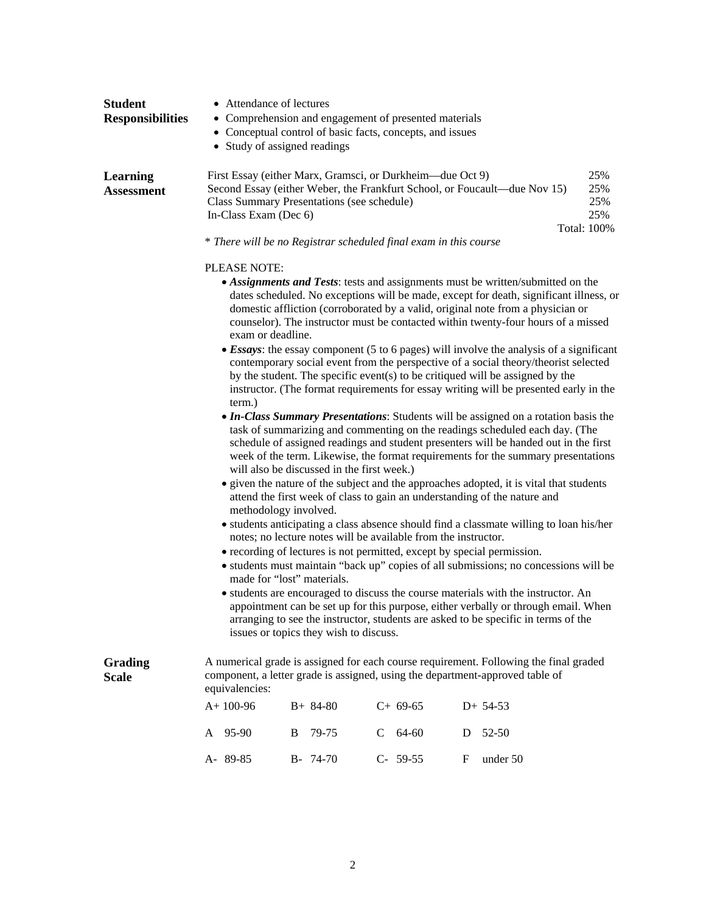| <b>Student</b>                       | • Attendance of lectures                                                                                                                                                                                                                                                                                                                                               |            |                                                           |                                                                             |                   |  |  |
|--------------------------------------|------------------------------------------------------------------------------------------------------------------------------------------------------------------------------------------------------------------------------------------------------------------------------------------------------------------------------------------------------------------------|------------|-----------------------------------------------------------|-----------------------------------------------------------------------------|-------------------|--|--|
| <b>Responsibilities</b>              | • Comprehension and engagement of presented materials                                                                                                                                                                                                                                                                                                                  |            |                                                           |                                                                             |                   |  |  |
|                                      | • Conceptual control of basic facts, concepts, and issues                                                                                                                                                                                                                                                                                                              |            |                                                           |                                                                             |                   |  |  |
|                                      | • Study of assigned readings                                                                                                                                                                                                                                                                                                                                           |            |                                                           |                                                                             |                   |  |  |
| <b>Learning</b><br><b>Assessment</b> | Class Summary Presentations (see schedule)                                                                                                                                                                                                                                                                                                                             |            | First Essay (either Marx, Gramsci, or Durkheim—due Oct 9) | Second Essay (either Weber, the Frankfurt School, or Foucault—due Nov 15)   | 25%<br>25%<br>25% |  |  |
|                                      | In-Class Exam (Dec 6)                                                                                                                                                                                                                                                                                                                                                  |            |                                                           |                                                                             | 25%               |  |  |
|                                      |                                                                                                                                                                                                                                                                                                                                                                        |            |                                                           |                                                                             | Total: 100%       |  |  |
|                                      | * There will be no Registrar scheduled final exam in this course                                                                                                                                                                                                                                                                                                       |            |                                                           |                                                                             |                   |  |  |
|                                      | PLEASE NOTE:                                                                                                                                                                                                                                                                                                                                                           |            |                                                           |                                                                             |                   |  |  |
|                                      | • Assignments and Tests: tests and assignments must be written/submitted on the<br>dates scheduled. No exceptions will be made, except for death, significant illness, or<br>domestic affliction (corroborated by a valid, original note from a physician or<br>counselor). The instructor must be contacted within twenty-four hours of a missed<br>exam or deadline. |            |                                                           |                                                                             |                   |  |  |
|                                      | • Essays: the essay component (5 to 6 pages) will involve the analysis of a significant                                                                                                                                                                                                                                                                                |            |                                                           |                                                                             |                   |  |  |
|                                      | contemporary social event from the perspective of a social theory/theorist selected                                                                                                                                                                                                                                                                                    |            |                                                           |                                                                             |                   |  |  |
|                                      | by the student. The specific event(s) to be critiqued will be assigned by the<br>instructor. (The format requirements for essay writing will be presented early in the                                                                                                                                                                                                 |            |                                                           |                                                                             |                   |  |  |
|                                      | term.)                                                                                                                                                                                                                                                                                                                                                                 |            |                                                           |                                                                             |                   |  |  |
|                                      | • In-Class Summary Presentations: Students will be assigned on a rotation basis the                                                                                                                                                                                                                                                                                    |            |                                                           |                                                                             |                   |  |  |
|                                      |                                                                                                                                                                                                                                                                                                                                                                        |            |                                                           | task of summarizing and commenting on the readings scheduled each day. (The |                   |  |  |
|                                      | schedule of assigned readings and student presenters will be handed out in the first<br>week of the term. Likewise, the format requirements for the summary presentations                                                                                                                                                                                              |            |                                                           |                                                                             |                   |  |  |
|                                      |                                                                                                                                                                                                                                                                                                                                                                        |            |                                                           |                                                                             |                   |  |  |
|                                      | will also be discussed in the first week.)                                                                                                                                                                                                                                                                                                                             |            |                                                           |                                                                             |                   |  |  |
|                                      | • given the nature of the subject and the approaches adopted, it is vital that students<br>attend the first week of class to gain an understanding of the nature and<br>methodology involved.                                                                                                                                                                          |            |                                                           |                                                                             |                   |  |  |
|                                      | • students anticipating a class absence should find a classmate willing to loan his/her<br>notes; no lecture notes will be available from the instructor.                                                                                                                                                                                                              |            |                                                           |                                                                             |                   |  |  |
|                                      | • recording of lectures is not permitted, except by special permission.                                                                                                                                                                                                                                                                                                |            |                                                           |                                                                             |                   |  |  |
|                                      | • students must maintain "back up" copies of all submissions; no concessions will be<br>made for "lost" materials.                                                                                                                                                                                                                                                     |            |                                                           |                                                                             |                   |  |  |
|                                      | • students are encouraged to discuss the course materials with the instructor. An                                                                                                                                                                                                                                                                                      |            |                                                           |                                                                             |                   |  |  |
|                                      | appointment can be set up for this purpose, either verbally or through email. When<br>arranging to see the instructor, students are asked to be specific in terms of the<br>issues or topics they wish to discuss.                                                                                                                                                     |            |                                                           |                                                                             |                   |  |  |
| <b>Grading</b><br><b>Scale</b>       | A numerical grade is assigned for each course requirement. Following the final graded<br>component, a letter grade is assigned, using the department-approved table of<br>equivalencies:                                                                                                                                                                               |            |                                                           |                                                                             |                   |  |  |
|                                      | $A+100-96$                                                                                                                                                                                                                                                                                                                                                             | $B+ 84-80$ | $C+ 69-65$                                                | $D+ 54-53$                                                                  |                   |  |  |
|                                      | A 95-90                                                                                                                                                                                                                                                                                                                                                                | B<br>79-75 | 64-60<br>$\mathbf{C}$                                     | 52-50<br>D                                                                  |                   |  |  |
|                                      | A-89-85                                                                                                                                                                                                                                                                                                                                                                | B- 74-70   | $C-59-55$                                                 | under 50<br>F                                                               |                   |  |  |